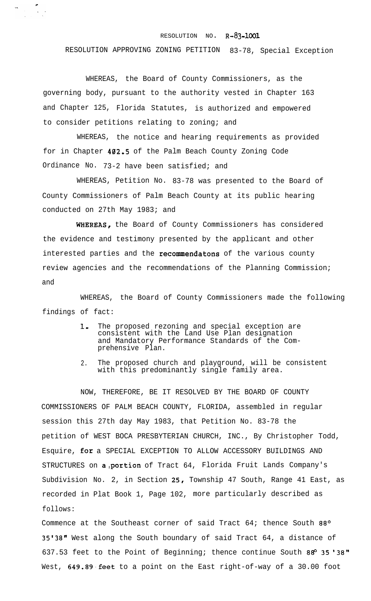## RESOLUTION NO. **R-83-1001**

## RESOLUTION APPROVING ZONING PETITION 83-78, Special Exception

WHEREAS, the Board of County Commissioners, as the governing body, pursuant to the authority vested in Chapter 163 and Chapter 125, Florida Statutes, is authorized and empowered to consider petitions relating to zoning; and

 $\frac{\partial}{\partial x} = \frac{\partial}{\partial y}$ 

WHEREAS, the notice and hearing requirements as provided for in Chapter 402.5 of the Palm Beach County Zoning Code Ordinance No. 73-2 have been satisfied; and

WHEREAS, Petition No. 83-78 was presented to the Board of County Commissioners of Palm Beach County at its public hearing conducted on 27th May 1983; and

WHEREAS, the Board of County Commissioners has considered the evidence and testimony presented by the applicant and other interested parties and the recommendatons of the various county review agencies and the recommendations of the Planning Commission; and

WHEREAS, the Board of County Commissioners made the following findings of fact:

- 1. The proposed rezoning and special exception are consistent with the Land Use Plan designation and Mandatory Performance Standards of the Comprehensive Plan.
- 2. The proposed church and playground, will be consistent with this predominantly single family area.

NOW, THEREFORE, BE IT RESOLVED BY THE BOARD OF COUNTY COMMISSIONERS OF PALM BEACH COUNTY, FLORIDA, assembled in regular session this 27th day May 1983, that Petition No. 83-78 the petition of WEST BOCA PRESBYTERIAN CHURCH, INC., By Christopher Todd, Esquire, **for** a SPECIAL EXCEPTION TO ALLOW ACCESSORY BUILDINGS AND STRUCTURES on a portion of Tract 64, Florida Fruit Lands Company's Subdivision No. 2, in Section 25, Township 47 South, Range 41 East, as recorded in Plat Book 1, Page 102, more particularly described as follows:

Commence at the Southeast corner of said Tract  $64$ ; thence South  $88^{\circ}$ 35'38" West along the South boundary of said Tract 64, a distance of 637.53 feet to the Point of Beginning; thence continue South  $88^{\circ}$  35 '38" West, 649.89 feet to a point on the East right-of-way of a 30.00 foot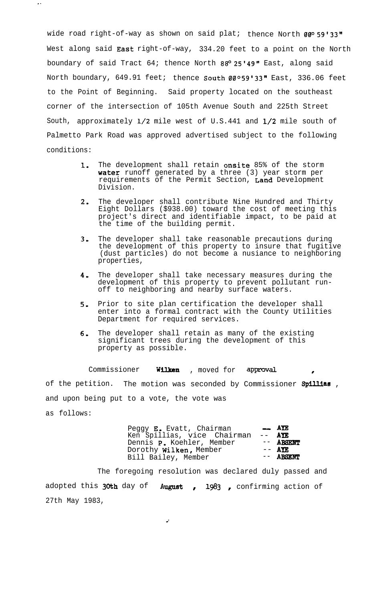wide road right-of-way as shown on said plat; thence North  $00^{\circ}$  59'33" West along said **East** right-of-way, 334.20 feet to a point on the North boundary of said Tract 64; thence North  $88^{\circ}$  25'49" East, along said North boundary, 649.91 feet; thence South  $00^{\circ}59'33''$  East, 336.06 feet to the Point of Beginning. Said property located on the southeast corner of the intersection of 105th Avenue South and 225th Street South, approximately l/2 mile west of U.S.441 and l/2 mile south of Palmetto Park Road was approved advertised subject to the following conditions:

 $\overline{\mathbf{z}}$  .

- **1.** The development shall retain onsite 85% of the storm water runoff generated by a three (3) year storm per requirements of the Permit Section, Land Development Division.
- 2. The developer shall contribute Nine Hundred and Thirty Eight Dollars (\$938.00) toward the cost of meeting this project's direct and identifiable impact, to be paid at the time of the building permit.
- $3 -$ The developer shall take reasonable precautions during the development of this property to insure that fugitive (dust particles) do not become a nusiance to neighboring properties,
- 4. The developer shall take necessary measures during the development of this property to prevent pollutant runoff to neighboring and nearby surface waters.
- 5, Prior to site plan certification the developer shall enter into a formal contract with the County Utilities Department for required services.
- 6. The developer shall retain as many of the existing significant trees during the development of this property as possible.

Commissioner Wilken , moved for approval of the petition. The motion was seconded by Commissioner Spillias, and upon being put to a vote, the vote was as follows:

| Peggy E. Evatt, Chairman<br>Ken Spillias, vice Chairman<br>Dennis P. Koehler, Member<br>Dorothy Wilken, Member | $ \angle$ AYE<br>$---$ AYE<br>-- ABSENT<br>$--$ AYE |
|----------------------------------------------------------------------------------------------------------------|-----------------------------------------------------|
| Bill Bailey, Member                                                                                            | -- ABSENT                                           |

The foregoing resolution was declared duly passed and adopted this 30th day of August , 1983 , confirming action of 27th May 1983,